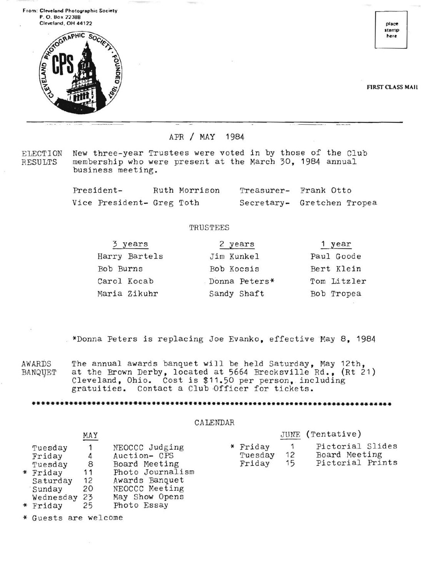From: Cleveland Photographic Society P.O. Box 22388 Cleveland, OH 44122



stamp here

FIRST CLASS MAil

APR / MAY 1984

ELECTION New three-year Trustees were voted in by those of the Club<br>RESULTS membership who were present at the March 30, 1984 annual membership who were present at the March 30, 1984 annual business meeting.

> President- Ruth Morrison Treasurer- Frank Otto Vice President- Greg Toth Secretary- Gretchen Tropea

## **TRUSTEES**

| 3 years       | 2 years       | 1 year      |
|---------------|---------------|-------------|
| Harry Bartels | Jim Kunkel    | Paul Goode  |
| Bob Burns     | Bob Kocsis    | Bert Klein  |
| Carol Kocab   | Donna Peters* | Tom Litzler |
| Maria Zikuhr  | Sandy Shaft   | Bob Tropea  |

"\*Donna Peters is replacing Joe Evanko, effective May 8, 1984

AWARDS The annual awards banquet will be held Saturday, May 12th, BANQUET at the Brown Derby, located at 5664 Brecksville Rd., (Rt 21) BANQUET at the Brown Derby, located at 5664 Brecksville Rd., (Rt 21)<br>Cleveland, Ohio. Cost is \$11.50 per person, including gratuities. Contact a Club Officer for tickets.

**••••••••••••••••••••••••••••••••••••••••••••••••••••••••••••••••••••••••••••••** 

## CALENDAR

|                                                              | MAY                      |                                                                                                         |                               |          | JUNE (Tentative)                                      |
|--------------------------------------------------------------|--------------------------|---------------------------------------------------------------------------------------------------------|-------------------------------|----------|-------------------------------------------------------|
| Tuesday<br>Friday<br>Tuesday<br>Friday<br>Saturday<br>Sunday | 4<br>8<br>11<br>12<br>20 | NEOCCC Judging<br>Auction- CPS<br>Board Meeting<br>Photo Journalism<br>Awards Banquet<br>NEOCCC Meeting | * Friday<br>Tuesday<br>Friday | 12<br>15 | Pictorial Slides<br>Board Meeting<br>Pictorial Prints |
| $U_{\alpha}$ dneadou $2$                                     |                          | Moy Chow Opene                                                                                          |                               |          |                                                       |

- Wednesday 23 May Show Opens
- "\* Friday 25 Photo Essay
- Guests are welcome

"\*